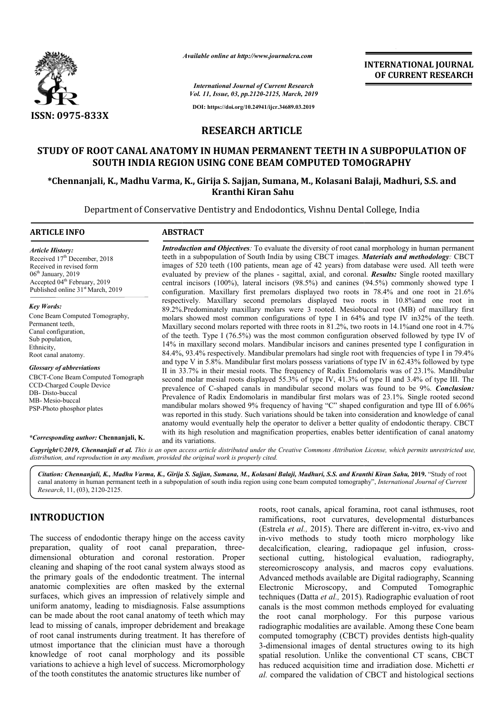

*Available online at http://www.journalcra.com*

**INTERNATIONAL JOURNAL OF CURRENT RESEARCH**

*International Journal of Current Research Vol. 11, Issue, 03, pp.2120-2125, March, 2019*

**DOI: https://doi.org/10.24941/ijcr.34689.03.2019**

## **RESEARCH ARTICLE**

# **STUDY OF ROOT CANAL ANATOMY IN HUMAN PERMANENT TEETH IN A SUBPOPULATION OF SOUTH INDIA REGION USING CONE BEAM COMPUTED TOMOGRAPHY**

SOUTH INDIA REGION USING CONE BEAM COMPUTED TOMOGRAPHY<br>Chennanjali, K., Madhu Varma, K., Girija S. Sajjan, Sumana, M., Kolasani Balaji, Madhuri, S.S. and\*\* **Kranthi Kiran Sahu**

Department of Conservative Dentistry and Endodontics, Vishnu Dental College, India

#### **ARTICLE INFO ABSTRACT**

*Article History:* Received 17<sup>th</sup> December, 2018 Received in revised form 06th January, 2019 Accepted 04<sup>th</sup> February, 2019 Published online 31<sup>st</sup> March, 2019

*Key Words:*

Cone Beam Computed Tomography, Permanent teeth, Canal configuration, Sub population, Ethnicity, Root canal anatomy.

*Glossary of abbreviations* CBCT-Cone Beam Computed Tomograph CCD-Charged Couple Device DB- Disto-buccal MB- Mesio-buccal PSP-Photo phosphor plates

#### *\*Corresponding author:* **Chennanjali, K.**

images of 520 teeth (100 patients, mean age of 42 years) from database were used. All teeth were evaluated by preview of the planes - sagittal, axial, and coronal. **Results:** Single rooted maxillary central incisors (100%), lateral incisors (98.5%) and canines (94.5%) commonly showed type I configuration. Maxillary first premolars displayed two roots in 78.4% and one root in 21.6% respectively. Maxillary second premolars displayed two roots in 10.8%and one root in 89.2%.Predominately maxillary molars were 3 rooted. Mesiobuccal root (MB) of maxillary first molars showed most common configurations of type I in 64% and type IV in 32% of the teeth. Maxillary second molars reported with three roots in 81.2%, two roots in 14.1% and one root in 4.7% of the teeth. Type I (76.5%) was the most common configuration observed followed by type IV of 14% in maxillary second molars. Mandibular incisors and canines presented type I configuration in 84.4%, 93.4% respectively. Mandibular premolars had single root with frequencies of type I in 79.4% and type V in 5.8%. Mandibular first molars possess variations of type IV in 62.43% followed II in 33.7% in their mesial roots. The frequency of Radix Endomolaris was of 23.1%. Mandibular II in 33.7% in their mesial roots. The frequency of Radix Endomolaris was of 23.1%. Mandibular second molar mesial roots displayed 55.3% of type IV, 41.3% of type II and 3.4% of type III. The prevalence of C-shaped canals in mandibular second molars was found to be 9%. Conclusion: Prevalence of Radix Endomolaris in mandibular first molars was of 23.1%. Single rooted second mandibular molars showed 9% frequency of having "C" shaped configuration and type III of 6.06% was reported in this study. Such variations should be taken into consideration and knowledge of canal anatomy would eventually help the operator to deliver a better quality of endodontic therapy. CBCT with its high resolution and magnification properties, enables better identification of canal anatomy and its variations. central incisors (100%), lateral incisors (98.5%) and canines (94.5%) commonly showed type I configuration. Maxillary first premolars displayed two roots in 78.4% and one root in 21.6% respectively. Maxillary second premo mandibular molars showed 9% frequency of having "C" shaped configuration and type III of 6.06% was reported in this study. Such variations should be taken into consideration and knowledge of canal anatomy would eventually THERNATIONAL JOURNAL<br>
THERNATION CONDUCT THE CONDUCT THE CONDUCT THE CONDUCT THE CONDUCT THE CONDUCT THE CONDUCT THE THE IN A SUBPOPULATION OF PUTED TOMOGRAPHY<br>
1999<br>
1999<br>
1999<br>
1999<br>
1999<br>
1999<br>
1999<br>
1999<br>
1999<br>
17 TEET

*Introduction and Objectives*: To evaluate the diversity of root canal morphology in human permanent teeth in a subpopulation of South India by using CBCT images. *Materials and methodology :* CBCT

Copyright©2019, Chennanjali et al. This is an open access article distributed under the Creative Commons Attribution License, which permits unrestricted use, *distribution, and reproduction in any medium, provided the original work is properly cited.*

*Citation: Chennanjali, K., Madhu Varma, K., Girija S. Sajjan, Sumana, M., Kolasani Balaji, Madhuri, S.S. and Kranthi Kiran Sahu Balaji, Madhuri, Sahu,* **2019.** "Study of root canal anatomy in human permanent teeth in a subpopulation of south india region using cone beam computed tomography", *International Journal of Current Research*, 11, (03), 2120-2125.

# **INTRODUCTION**

The success of endodontic therapy hinge on the access cavity preparation, quality of root canal preparation, threedimensional obturation and coronal restoration. Proper cleaning and shaping of the root canal system always stood as the primary goals of the endodontic treatment. The internal anatomic complexities are often masked by the external surfaces, which gives an impression of relatively simple and uniform anatomy, leading to misdiagnosis. False assumptions can be made about the root canal anatomy of teeth which may lead to missing of canals, improper debridement and breakage of root canal instruments during treatment. It has therefore of utmost importance that the clinician must have a thorough knowledge of root canal morphology and its possible variations to achieve a high level of success. Micromorphology of the tooth constitutes the anatomic structures like number of

roots, root canals, apical foramina, root canal isthmuses, root ramifications, root curvatures, developmental disturbances (Estrela *et al.*, 2015). There are different in-vitro, ex-vivo and in-vivo methods to study tooth micro morphology like decalcification, clearing, radiopaque gel infusion, crosssectional cutting, histological evaluation, radiography, stereomicroscopy analysis, and macros copy evaluations. Advanced methods available are Digital radiography, Scanning Electronic Microscopy, and Computed Tomographic Advanced methods available are Digital radiography, Scanning<br>Electronic Microscopy, and Computed Tomographic<br>techniques (Datta *et al.*, 2015). Radiographic evaluation of root canals is the most common methods employed for evaluating the root canal morphology. For this purpose various radiographic modalities are available. Among these Cone beam computed tomography (CBCT) provides dentists high-quality 3-dimensional images of dental structures owing to its high 3-dimensional images of dental structures owing to its high<br>spatial resolution. Unlike the conventional CT scans, CBCT has reduced acquisition time and irradiation dose. Michetti et *al.* compared the validation of CBCT and histological sections isthmuses, root<br>mental disturbances<br>in-vitro, ex-vivo and canals is the most common methods employed for evaluating<br>the root canal morphology. For this purpose various<br>radiographic modalities are available. Among these Cone beam<br>computed tomography (CBCT) provides dentists high-q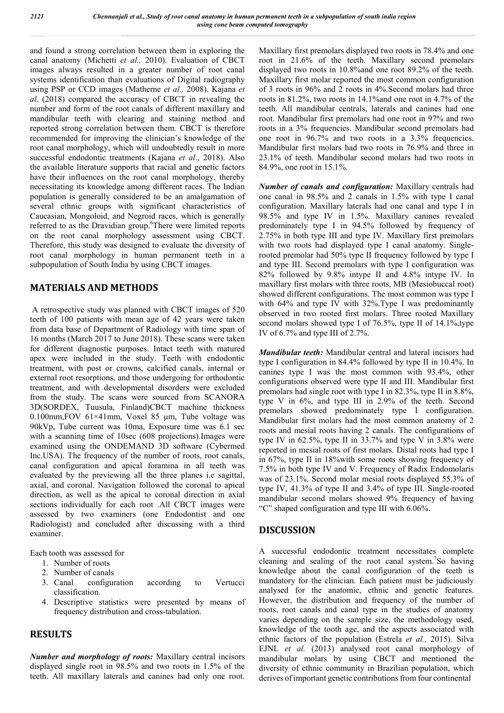and found a strong correlation between them in exploring the canal anatomy (Michetti *et al.,* 2010). Evaluation of CBCT images always resulted in a greater number of root canal systems identification than evaluations of Digital radiography using PSP or CCD images (Matherne *et al.,* 2008). Kajana *et al*. (2018) compared the accuracy of CBCT in revealing the number and form of the root canals of different maxillary and mandibular teeth with clearing and staining method and reported strong correlation between them. CBCT is therefore recommended for improving the clinician's knowledge of the root canal morphology, which will undoubtedly result in more successful endodontic treatments (Kajana *et al*., 2018). Also the available literature supports that racial and genetic factors have their influences on the root canal morphology, thereby necessitating its knowledge among different races. The Indian population is generally considered to be an amalgamation of several ethnic groups with significant characteristics of Caucasian, Mongoloid, and Negroid races, which is generally referred to as the Dravidian group.<sup>6</sup>There were limited reports on the root canal morphology assessment using CBCT. Therefore, this study was designed to evaluate the diversity of root canal morphology in human permanent teeth in a subpopulation of South India by using CBCT images.

# **MATERIALS AND METHODS**

A retrospective study was planned with CBCT images of 520 teeth of 100 patients with mean age of 42 years were taken from data base of Department of Radiology with time span of 16 months (March 2017 to June 2018). These scans were taken for different diagnostic purposes. Intact teeth with matured apex were included in the study. Teeth with endodontic treatment, with post or crowns, calcified canals, internal or external root resorptions, and those undergoing for orthodontic treatment, and with developmental disorders were excluded from the study. The scans were sourced from SCANORA 3D(SORDEX, Tuusula, Finland)CBCT machine thickness 0.100mm,FOV 61×41mm, Voxel 85 μm, Tube voltage was 90kVp, Tube current was 10ma, Exposure time was 6.1 sec with a scanning time of 10sec (608 projections).Images were examined using the ONDEMAND 3D software (Cybermed Inc.USA). The frequency of the number of roots, root canals, canal configuration and apical foramina in all teeth was evaluated by the previewing all the three planes i.e sagittal, axial, and coronal. Navigation followed the coronal to apical direction, as well as the apical to coronal direction in axial sections individually for each root .All CBCT images were assessed by two examiners (one Endodontist and one Radiologist) and concluded after discussing with a third examiner.

Each tooth was assessed for

- 1. Number of roots
- 2. Number of canals
- 3. Canal configuration according to Vertucci classification.
- 4. Descriptive statistics were presented by means of frequency distribution and cross-tabulation.

### **RESULTS**

*Number and morphology of roots:* Maxillary central incisors displayed single root in 98.5% and two roots in 1.5% of the teeth. All maxillary laterals and canines had only one root.

Maxillary first premolars displayed two roots in 78.4% and one root in 21.6% of the teeth. Maxillary second premolars displayed two roots in 10.8%and one root 89.2% of the teeth. Maxillary first molar reported the most common configuration of 3 roots in 96% and 2 roots in 4%.Second molars had three roots in 81.2%, two roots in 14.1%and one root in 4.7% of the teeth. All mandibular centrals, laterals and canines had one root. Mandibular first premolars had one root in 97% and two roots in a 3% frequencies. Mandibular second premolars had one root in 96.7% and two roots in a 3.3% frequencies. Mandibular first molars had two roots in 76.9% and three in 23.1% of teeth. Mandibular second molars had two roots in 84.9%, one root in 15.1%.

*Number of canals and configuration:* Maxillary centrals had one canal in 98.5% and 2 canals in 1.5% with type I canal configuration. Maxillary laterals had one canal and type I in 98.5% and type IV in 1.5%. Maxillary canines revealed predominately type I in 94.5% followed by frequency of 2.75% in both type III and type IV. Maxillary first premolars with two roots had displayed type I canal anatomy. Singlerooted premolar had 50% type II frequency followed by type I and type III. Second premolars with type I configuration was 82% followed by 9.8% intype II and 4.8% intype IV. In maxillary first molars with three roots, MB (Mesiobuccal root) showed different configurations. The most common was type I with 64% and type IV with 32%.Type I was predominantly observed in two rooted first molars. Three rooted Maxillary second molars showed type I of 76.5%, type II of 14.1%, type IV of 6.7% and type III of 2.7%.

*Mandibular teeth:* Mandibular central and lateral incisors had type I configuration in 84.4% followed by type II in 10.4%. In canines type I was the most common with 93.4%, other configurations observed were type II and III. Mandibular first premolars had single root with type I in 82.3%, type II in 8.8%, type V in 6%, and type III in 2.9% of the teeth. Second premolars showed predominately type I configuration. Mandibular first molars had the most common anatomy of 2 roots and mesial roots having 2 canals. The configurations of type IV in 62.5%, type II in 33.7% and type V in 3.8% were reported in mesial roots of first molars. Distal roots had type I in 67%, type II in 18%with some roots showing frequency of 7.5% in both type IV and V. Frequency of Radix Endomolaris was of 23.1%. Second molar mesial roots displayed 55.3% of type IV, 41.3% of type II and 3.4% of type III. Single-rooted mandibular second molars showed 9% frequency of having "C" shaped configuration and type III with 6.06%.

# **DISCUSSION**

A successful endodontic treatment necessitates complete cleaning and sealing of the root canal system.<sup>7</sup>So having knowledge about the canal configuration of the teeth is mandatory for the clinician. Each patient must be judiciously analysed for the anatomic, ethnic and genetic features. However, the distribution and frequency of the number of roots, root canals and canal type in the studies of anatomy varies depending on the sample size, the methodology used, knowledge of the tooth age, and the aspects associated with ethnic factors of the population (Estrela *et al.,* 2015). Silva EJNL *et al.* (2013) analysed root canal morphology of mandibular molars by using CBCT and mentioned the diversity of ethnic community in Brazilian population, which derives of important genetic contributions from four continental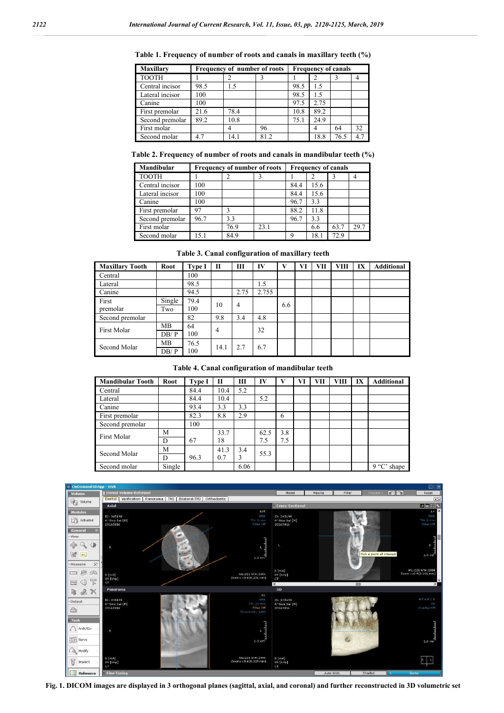| <b>Maxillary</b> | Frequency of number of roots |      |     |      | <b>Frequency of canals</b> |      |     |  |  |  |
|------------------|------------------------------|------|-----|------|----------------------------|------|-----|--|--|--|
| <b>TOOTH</b>     |                              |      |     |      |                            |      |     |  |  |  |
| Central incisor  | 98.5                         | 1.5  |     | 98.5 | 1.5                        |      |     |  |  |  |
| Lateral incisor  | 100                          |      |     | 98.5 | 15                         |      |     |  |  |  |
| Canine           | 100                          |      |     | 97.5 | 2.75                       |      |     |  |  |  |
| First premolar   | 21.6                         | 78.4 |     | 10.8 | 89.2                       |      |     |  |  |  |
| Second premolar  | 89.2                         | 10.8 |     | 75.1 | 24.9                       |      |     |  |  |  |
| First molar      |                              |      | 96  |      | 4                          | 64   | 32  |  |  |  |
| Second molar     | 4.7                          | 14.1 | 812 |      | 18.8                       | 76.5 | 4.7 |  |  |  |

**Table 1. Frequency of number of roots and canals in maxillary teeth (%)**

**Table 2. Frequency of number of roots and canals in mandibular teeth (%)**

| <b>Mandibular</b> | <b>Frequency of number of roots</b> | <b>Frequency of canals</b> |      |      |      |      |      |
|-------------------|-------------------------------------|----------------------------|------|------|------|------|------|
| <b>TOOTH</b>      |                                     |                            |      |      |      |      |      |
| Central incisor   | 100                                 |                            |      | 84.4 | 15.6 |      |      |
| Lateral incisor   | 100                                 |                            |      | 84.4 | 15.6 |      |      |
| Canine            | 100                                 |                            |      | 96.7 | 3.3  |      |      |
| First premolar    | 97                                  |                            |      | 88.2 | 11.8 |      |      |
| Second premolar   | 96.7                                | 3.3                        |      | 96.7 | 3.3  |      |      |
| First molar       |                                     | 76.9                       | 23.1 |      | 6.6  | 63.7 | 29.7 |
| Second molar      | 151                                 | 84.9                       |      | Q    | 18.1 | 72.9 |      |

**Table 3. Canal configuration of maxillary teeth**

| <b>Maxillary Tooth</b> | Root              | <b>Type I</b> | $\mathbf{H}$   | Ш    | IV    | $\mathbf{V}$ | VI | VП | <b>VIII</b> | IX | <b>Additional</b> |
|------------------------|-------------------|---------------|----------------|------|-------|--------------|----|----|-------------|----|-------------------|
| Central                |                   | 100           |                |      |       |              |    |    |             |    |                   |
| Lateral                |                   | 98.5          |                |      | 1.5   |              |    |    |             |    |                   |
| Canine                 |                   | 94.5          |                | 2.75 | 2.755 |              |    |    |             |    |                   |
| First<br>premolar      | Single<br>Two     | 79.4<br>100   | 10             | 4    |       | 6.6          |    |    |             |    |                   |
| Second premolar        |                   | 82            | 9.8            | 3.4  | 4.8   |              |    |    |             |    |                   |
| First Molar            | <b>MB</b><br>DB/P | 64<br>100     | $\overline{4}$ |      | 32    |              |    |    |             |    |                   |
| Second Molar           | MB<br>DB/P        | 76.5<br>100   | 14.1           | 2.7  | 6.7   |              |    |    |             |    |                   |

**Table 4. Canal configuration of mandibular teeth**

| <b>Mandibular Tooth</b> | <b>Root</b> | <b>Type I</b> | П    | Ш    | IV   | v   | VI | VII | <b>VIII</b> | IX | <b>Additional</b> |
|-------------------------|-------------|---------------|------|------|------|-----|----|-----|-------------|----|-------------------|
| Central                 |             | 84.4          | 10.4 | 5.2  |      |     |    |     |             |    |                   |
| Lateral                 |             | 84.4          | 10.4 |      | 5.2  |     |    |     |             |    |                   |
| Canine                  |             | 93.4          | 3.3  | 3.3  |      |     |    |     |             |    |                   |
| First premolar          |             | 82.3          | 8.8  | 2.9  |      | 6   |    |     |             |    |                   |
| Second premolar         |             | 100           |      |      |      |     |    |     |             |    |                   |
| <b>First Molar</b>      | M           |               | 33.7 |      | 62.5 | 3.8 |    |     |             |    |                   |
|                         | D           | 67            | 18   |      | 7.5  | 7.5 |    |     |             |    |                   |
| Second Molar            | M           |               | 41.3 | 3.4  | 55.3 |     |    |     |             |    |                   |
|                         | D           | 96.3          | 0.7  | 3    |      |     |    |     |             |    |                   |
| Second molar            | Single      |               |      | 6.06 |      |     |    |     |             |    | 9 "C"<br>shape    |



**Fig. 1. DICOM images are displayed in 3 orthogonal planes (sagittal, axial, and coronal) and further reconstructed in 3D volumetric set**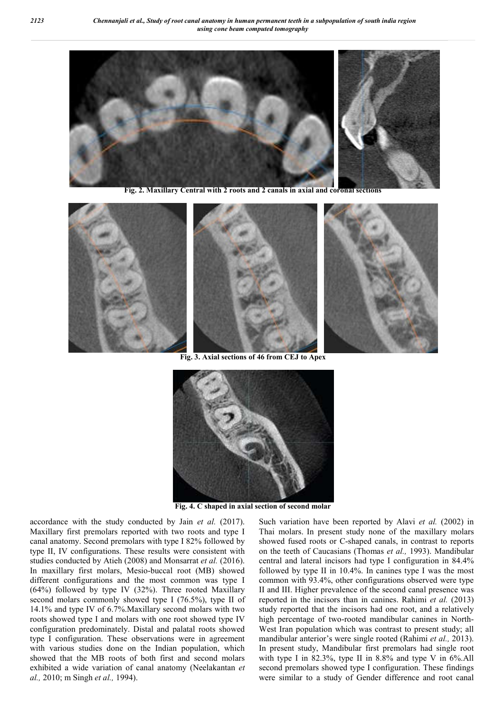

 **Fig. 2. Maxillary Central with 2 roots and 2 canals in axial and coronal sections**







 **Fig. 3. Axial sections of 46 from CEJ to Apex**



**Fig. 4. C shaped in axial section of second molar**

accordance with the study conducted by Jain *et al.* (2017). Maxillary first premolars reported with two roots and type I canal anatomy. Second premolars with type I 82% followed by type II, IV configurations. These results were consistent with studies conducted by Atieh (2008) and Monsarrat *et al.* (2016). In maxillary first molars, Mesio-buccal root (MB) showed different configurations and the most common was type I (64%) followed by type IV (32%). Three rooted Maxillary second molars commonly showed type I (76.5%), type II of 14.1% and type IV of 6.7%.Maxillary second molars with two roots showed type I and molars with one root showed type IV configuration predominately. Distal and palatal roots showed type I configuration. These observations were in agreement with various studies done on the Indian population, which showed that the MB roots of both first and second molars exhibited a wide variation of canal anatomy (Neelakantan *et al.,* 2010; m Singh *et al.,* 1994).

Such variation have been reported by Alavi *et al.* (2002) in Thai molars. In present study none of the maxillary molars showed fused roots or C-shaped canals, in contrast to reports on the teeth of Caucasians (Thomas *et al.,* 1993). Mandibular central and lateral incisors had type I configuration in 84.4% followed by type II in 10.4%. In canines type I was the most common with 93.4%, other configurations observed were type II and III. Higher prevalence of the second canal presence was reported in the incisors than in canines. Rahimi *et al.* (2013) study reported that the incisors had one root, and a relatively high percentage of two-rooted mandibular canines in North-West Iran population which was contrast to present study; all mandibular anterior's were single rooted (Rahimi *et al.,* 2013). In present study, Mandibular first premolars had single root with type I in 82.3%, type II in 8.8% and type V in 6%.All second premolars showed type I configuration. These findings were similar to a study of Gender difference and root canal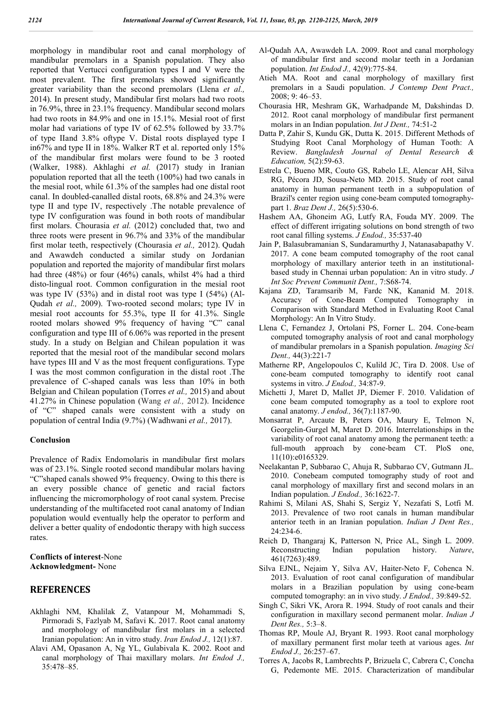morphology in mandibular root and canal morphology of mandibular premolars in a Spanish population. They also reported that Vertucci configuration types I and V were the most prevalent. The first premolars showed significantly greater variability than the second premolars (Llena *et al.,*  2014). In present study, Mandibular first molars had two roots in 76.9%, three in 23.1% frequency. Mandibular second molars had two roots in 84.9% and one in 15.1%. Mesial root of first molar had variations of type IV of 62.5% followed by 33.7% of type IIand 3.8% oftype V. Distal roots displayed type I in67% and type II in 18%. Walker RT et al. reported only 15% of the mandibular first molars were found to be 3 rooted (Walker, 1988). Akhlaghi *et al.* (2017) study in Iranian population reported that all the teeth (100%) had two canals in the mesial root, while 61.3% of the samples had one distal root canal. In doubled-canalled distal roots, 68.8% and 24.3% were type II and type IV, respectively .The notable prevalence of type IV configuration was found in both roots of mandibular first molars. Chourasia *et al.* (2012) concluded that, two and three roots were present in 96.7% and 33% of the mandibular first molar teeth, respectively (Chourasia *et al.,* 2012). Qudah and Awawdeh conducted a similar study on Jordanian population and reported the majority of mandibular first molars had three (48%) or four (46%) canals, whilst 4% had a third disto-lingual root. Common configuration in the mesial root was type IV (53%) and in distal root was type I (54%) (Al-Qudah *et al.,* 2009). Two-rooted second molars; type IV in mesial root accounts for 55.3%, type II for 41.3%. Single rooted molars showed 9% frequency of having "C" canal configuration and type III of 6.06% was reported in the present study. In a study on Belgian and Chilean population it was reported that the mesial root of the mandibular second molars have types III and V as the most frequent configurations. Type I was the most common configuration in the distal root .The prevalence of C-shaped canals was less than 10% in both Belgian and Chilean population (Torres *et al.,* 2015) and about 41.27% in Chinese population (Wang *et al.,* 2012). Incidence of "C" shaped canals were consistent with a study on population of central India (9.7%) (Wadhwani *et al.,* 2017).

#### **Conclusion**

Prevalence of Radix Endomolaris in mandibular first molars was of 23.1%. Single rooted second mandibular molars having "C"shaped canals showed 9% frequency. Owing to this there is an every possible chance of genetic and racial factors influencing the micromorphology of root canal system. Precise understanding of the multifaceted root canal anatomy of Indian population would eventually help the operator to perform and deliver a better quality of endodontic therapy with high success rates.

#### **Conflicts of interest**-None **Acknowledgment-** None

#### **REFERENCES**

- Akhlaghi NM, Khalilak Z, Vatanpour M, Mohammadi S, Pirmoradi S, Fazlyab M, Safavi K. 2017. Root canal anatomy and morphology of mandibular first molars in a selected Iranian population: An in vitro study. *Iran Endod J.,* 12(1):87.
- Alavi AM, Opasanon A, Ng YL, Gulabivala K. 2002. Root and canal morphology of Thai maxillary molars. *Int Endod J.,* 35:478–85.
- Al-Qudah AA, Awawdeh LA. 2009. Root and canal morphology of mandibular first and second molar teeth in a Jordanian population. *Int Endod J.,* 42(9):775-84.
- Atieh MA. Root and canal morphology of maxillary first premolars in a Saudi population. *J Contemp Dent Pract.,* 2008; 9: 46–53.
- Chourasia HR, Meshram GK, Warhadpande M, Dakshindas D. 2012. Root canal morphology of mandibular first permanent molars in an Indian population. *Int J Dent.,* 74:51-2
- Datta P, Zahir S, Kundu GK, Dutta K. 2015. Different Methods of Studying Root Canal Morphology of Human Tooth: A Review. *Bangladesh Journal of Dental Research & Education,* 5(2):59-63.
- Estrela C, Bueno MR, Couto GS, Rabelo LE, Alencar AH, Silva RG, Pécora JD, Sousa-Neto MD. 2015. Study of root canal anatomy in human permanent teeth in a subpopulation of Brazil's center region using cone-beam computed tomographypart 1. *Braz Dent J.,* 26(5):530-6.
- Hashem AA, Ghoneim AG, Lutfy RA, Fouda MY. 2009. The effect of different irrigating solutions on bond strength of two root canal filling systems. *J Endod.,* 35:537-40
- Jain P, Balasubramanian S, Sundaramurthy J, Natanasabapathy V. 2017. A cone beam computed tomography of the root canal morphology of maxillary anterior teeth in an institutionalbased study in Chennai urban population: An in vitro study. *J Int Soc Prevent Communit Dent.,* 7:S68-74.
- Kajana ZD, Taramsarib M, Fardc NK, Kananid M. 2018. Accuracy of Cone-Beam Computed Tomography in Comparison with Standard Method in Evaluating Root Canal Morphology: An In Vitro Study.
- Llena C, Fernandez J, Ortolani PS, Forner L. 204. Cone-beam computed tomography analysis of root and canal morphology of mandibular premolars in a Spanish population. *Imaging Sci Dent.,* 44(3):221-7
- Matherne RP, Angelopoulos C, Kulild JC, Tira D. 2008. Use of cone-beam computed tomography to identify root canal systems in vitro. *J Endod.,* 34:87-9.
- Michetti J, Maret D, Mallet JP, Diemer F. 2010. Validation of cone beam computed tomography as a tool to explore root canal anatomy. *J endod.,* 36(7):1187-90.
- Monsarrat P, Arcaute B, Peters OA, Maury E, Telmon N, Georgelin-Gurgel M, Maret D. 2016. Interrelationships in the variability of root canal anatomy among the permanent teeth: a full-mouth approach by cone-beam CT. PloS one, 11(10):e0165329.
- Neelakantan P, Subbarao C, Ahuja R, Subbarao CV, Gutmann JL. 2010. Conebeam computed tomography study of root and canal morphology of maxillary first and second molars in an Indian population. *J Endod.,* 36:1622-7.
- Rahimi S, Milani AS, Shahi S, Sergiz Y, Nezafati S, Lotfi M. 2013. Prevalence of two root canals in human mandibular anterior teeth in an Iranian population. *Indian J Dent Res.,* 24:234-6.
- Reich D, Thangaraj K, Patterson N, Price AL, Singh L. 2009. Reconstructing Indian population history. *Nature*, 461(7263):489.
- Silva EJNL, Nejaim Y, Silva AV, Haiter-Neto F, Cohenca N. 2013. Evaluation of root canal configuration of mandibular molars in a Brazilian population by using cone-beam computed tomography: an in vivo study. *J Endod.,* 39:849-52.
- Singh C, Sikri VK, Arora R. 1994. Study of root canals and their configuration in maxillary second permanent molar. *Indian J Dent Res.,* 5:3–8.
- Thomas RP, Moule AJ, Bryant R. 1993. Root canal morphology of maxillary permanent first molar teeth at various ages. *Int Endod J.,* 26:257–67.
- Torres A, Jacobs R, Lambrechts P, Brizuela C, Cabrera C, Concha G, Pedemonte ME. 2015. Characterization of mandibular